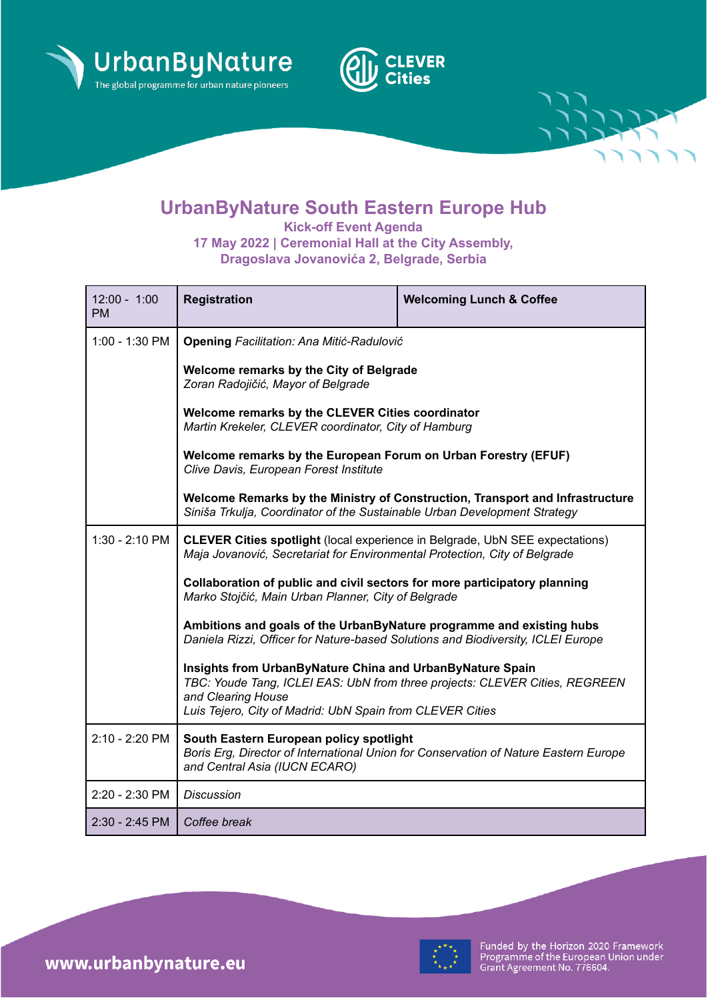





**Kick-off Event Agenda 17 May 2022 | Ceremonial Hall at the City Assembly, Dragoslava Jovanovića 2, Belgrade, Serbia**

| $12:00 - 1:00$<br><b>PM</b> | <b>Registration</b>                                                                                                                                               | <b>Welcoming Lunch &amp; Coffee</b>                                                  |  |
|-----------------------------|-------------------------------------------------------------------------------------------------------------------------------------------------------------------|--------------------------------------------------------------------------------------|--|
| 1:00 - 1:30 PM              | <b>Opening Facilitation: Ana Mitić-Radulović</b>                                                                                                                  |                                                                                      |  |
|                             | Welcome remarks by the City of Belgrade<br>Zoran Radojičić, Mayor of Belgrade                                                                                     |                                                                                      |  |
|                             | Welcome remarks by the CLEVER Cities coordinator<br>Martin Krekeler, CLEVER coordinator, City of Hamburg                                                          |                                                                                      |  |
|                             | Welcome remarks by the European Forum on Urban Forestry (EFUF)<br>Clive Davis, European Forest Institute                                                          |                                                                                      |  |
|                             | Welcome Remarks by the Ministry of Construction, Transport and Infrastructure<br>Siniša Trkulja, Coordinator of the Sustainable Urban Development Strategy        |                                                                                      |  |
| $1:30 - 2:10$ PM            | <b>CLEVER Cities spotlight</b> (local experience in Belgrade, UbN SEE expectations)<br>Maja Jovanović, Secretariat for Environmental Protection, City of Belgrade |                                                                                      |  |
|                             | Collaboration of public and civil sectors for more participatory planning<br>Marko Stojčić, Main Urban Planner, City of Belgrade                                  |                                                                                      |  |
|                             | Ambitions and goals of the UrbanByNature programme and existing hubs<br>Daniela Rizzi, Officer for Nature-based Solutions and Biodiversity, ICLEI Europe          |                                                                                      |  |
|                             | Insights from UrbanByNature China and UrbanByNature Spain<br>and Clearing House<br>Luis Tejero, City of Madrid: UbN Spain from CLEVER Cities                      | TBC: Youde Tang, ICLEI EAS: UbN from three projects: CLEVER Cities, REGREEN          |  |
| 2:10 - 2:20 PM              | South Eastern European policy spotlight<br>and Central Asia (IUCN ECARO)                                                                                          | Boris Erg, Director of International Union for Conservation of Nature Eastern Europe |  |
| 2:20 - 2:30 PM              | <b>Discussion</b>                                                                                                                                                 |                                                                                      |  |
| 2:30 - 2:45 PM              | Coffee break                                                                                                                                                      |                                                                                      |  |



Funded by the Horizon 2020 Framework<br>Programme of the European Union under<br>Grant Agreement No. 776604.

www.urbanbynature.eu